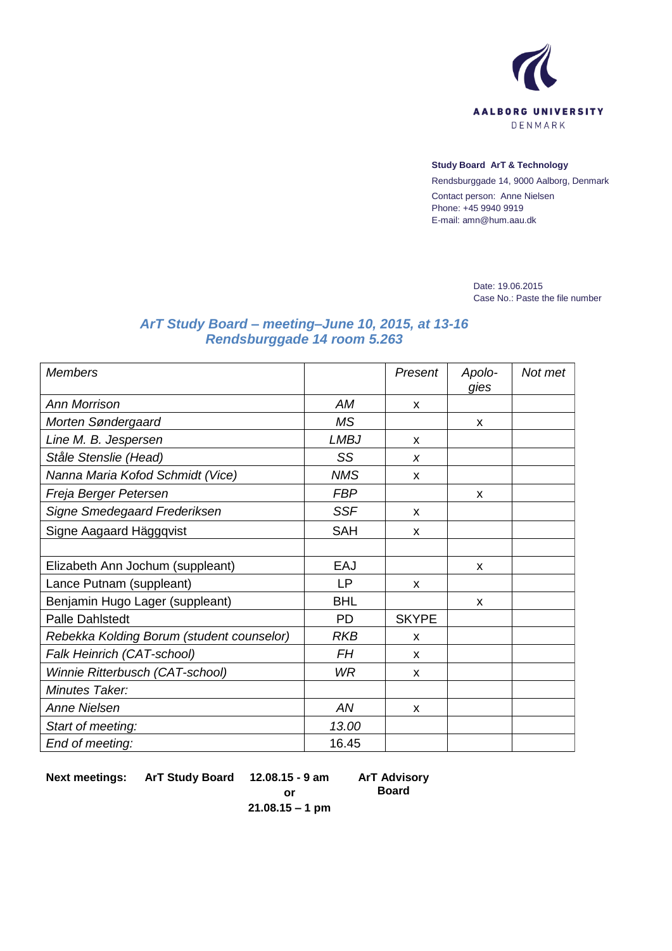

## **Study Board ArT & Technology**

Rendsburggade 14, 9000 Aalborg, Denmark Contact person: Anne Nielsen Phone: +45 9940 9919 E-mail: amn@hum.aau.dk

> Date: 19.06.2015 Case No.: Paste the file number

## *ArT Study Board – meeting–June 10, 2015, at 13-16 Rendsburggade 14 room 5.263*

| <b>Members</b>                            |             | Present      | Apolo-<br>gies | Not met |
|-------------------------------------------|-------------|--------------|----------------|---------|
| <b>Ann Morrison</b>                       | AM          | X            |                |         |
| Morten Søndergaard                        | MS.         |              | X              |         |
| Line M. B. Jespersen                      | <b>LMBJ</b> | X            |                |         |
| Ståle Stenslie (Head)                     | SS          | X            |                |         |
| Nanna Maria Kofod Schmidt (Vice)          | <b>NMS</b>  | X            |                |         |
| Freja Berger Petersen                     | <b>FBP</b>  |              | X              |         |
| Signe Smedegaard Frederiksen              | <b>SSF</b>  | X            |                |         |
| Signe Aagaard Häggqvist                   | <b>SAH</b>  | X            |                |         |
|                                           |             |              |                |         |
| Elizabeth Ann Jochum (suppleant)          | EAJ         |              | X              |         |
| Lance Putnam (suppleant)                  | LP.         | x            |                |         |
| Benjamin Hugo Lager (suppleant)           | <b>BHL</b>  |              | X              |         |
| <b>Palle Dahlstedt</b>                    | <b>PD</b>   | <b>SKYPE</b> |                |         |
| Rebekka Kolding Borum (student counselor) | <b>RKB</b>  | X            |                |         |
| Falk Heinrich (CAT-school)                | <b>FH</b>   | X            |                |         |
| Winnie Ritterbusch (CAT-school)           | <b>WR</b>   | X            |                |         |
| Minutes Taker:                            |             |              |                |         |
| Anne Nielsen                              | AN          | X            |                |         |
| Start of meeting:                         | 13.00       |              |                |         |
| End of meeting:                           | 16.45       |              |                |         |

**Next meetings: ArT Study Board 12.08.15 - 9 am**

**ArT Advisory Board**

**or 21.08.15 – 1 pm**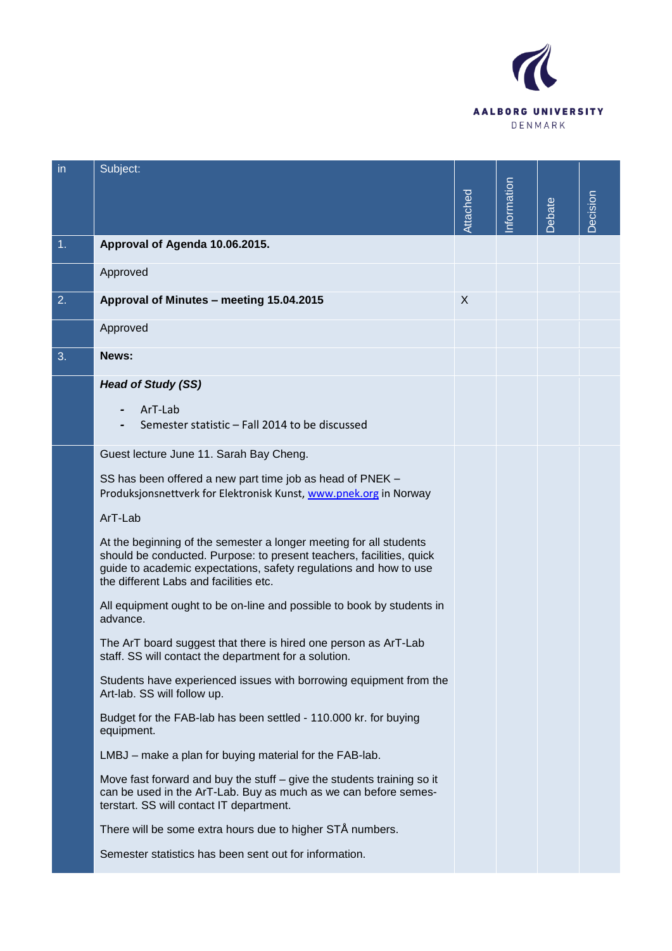

| in | Subject:                                                                                                                                                                                                                                                  |          |            |        |          |
|----|-----------------------------------------------------------------------------------------------------------------------------------------------------------------------------------------------------------------------------------------------------------|----------|------------|--------|----------|
|    |                                                                                                                                                                                                                                                           |          | nformation |        |          |
|    |                                                                                                                                                                                                                                                           | Attached |            | Debate | Decision |
| 1. | Approval of Agenda 10.06.2015.                                                                                                                                                                                                                            |          |            |        |          |
|    | Approved                                                                                                                                                                                                                                                  |          |            |        |          |
| 2. | Approval of Minutes - meeting 15.04.2015                                                                                                                                                                                                                  | X        |            |        |          |
|    | Approved                                                                                                                                                                                                                                                  |          |            |        |          |
| 3. | News:                                                                                                                                                                                                                                                     |          |            |        |          |
|    | <b>Head of Study (SS)</b>                                                                                                                                                                                                                                 |          |            |        |          |
|    | ArT-Lab<br>Semester statistic - Fall 2014 to be discussed                                                                                                                                                                                                 |          |            |        |          |
|    | Guest lecture June 11. Sarah Bay Cheng.                                                                                                                                                                                                                   |          |            |        |          |
|    | SS has been offered a new part time job as head of PNEK -<br>Produksjonsnettverk for Elektronisk Kunst, www.pnek.org in Norway                                                                                                                            |          |            |        |          |
|    | ArT-Lab                                                                                                                                                                                                                                                   |          |            |        |          |
|    | At the beginning of the semester a longer meeting for all students<br>should be conducted. Purpose: to present teachers, facilities, quick<br>guide to academic expectations, safety regulations and how to use<br>the different Labs and facilities etc. |          |            |        |          |
|    | All equipment ought to be on-line and possible to book by students in<br>advance.                                                                                                                                                                         |          |            |        |          |
|    | The ArT board suggest that there is hired one person as ArT-Lab<br>staff. SS will contact the department for a solution.                                                                                                                                  |          |            |        |          |
|    | Students have experienced issues with borrowing equipment from the<br>Art-lab. SS will follow up.                                                                                                                                                         |          |            |        |          |
|    | Budget for the FAB-lab has been settled - 110.000 kr. for buying<br>equipment.                                                                                                                                                                            |          |            |        |          |
|    | LMBJ – make a plan for buying material for the FAB-lab.                                                                                                                                                                                                   |          |            |        |          |
|    | Move fast forward and buy the stuff – give the students training so it<br>can be used in the ArT-Lab. Buy as much as we can before semes-<br>terstart. SS will contact IT department.                                                                     |          |            |        |          |
|    | There will be some extra hours due to higher STÅ numbers.                                                                                                                                                                                                 |          |            |        |          |
|    | Semester statistics has been sent out for information.                                                                                                                                                                                                    |          |            |        |          |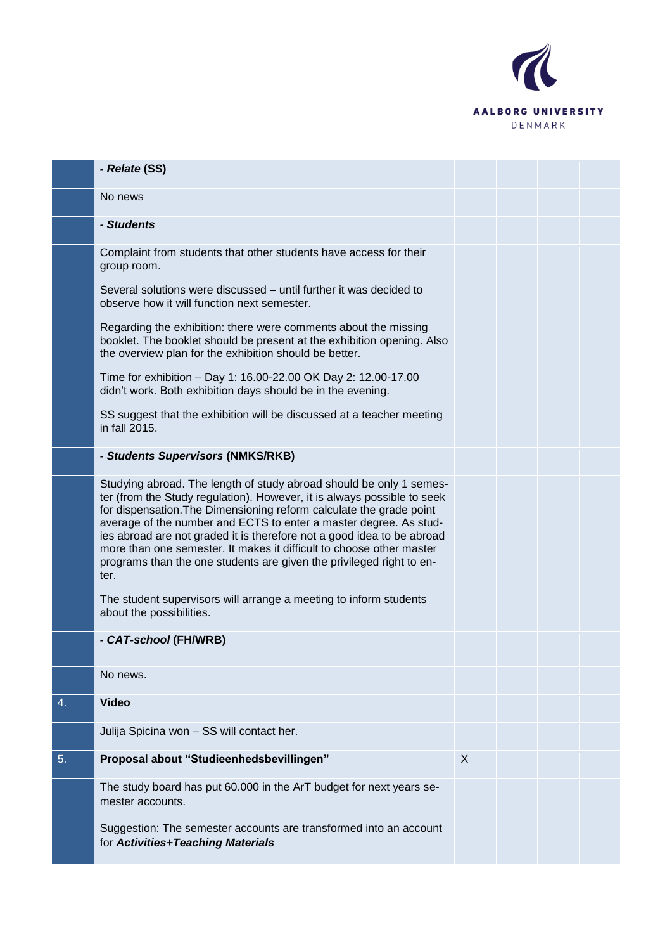

|    | - Relate (SS)                                                                                                                                                                                                                                                                                                                                                                                                                                                                                                                |   |  |  |
|----|------------------------------------------------------------------------------------------------------------------------------------------------------------------------------------------------------------------------------------------------------------------------------------------------------------------------------------------------------------------------------------------------------------------------------------------------------------------------------------------------------------------------------|---|--|--|
|    | No news                                                                                                                                                                                                                                                                                                                                                                                                                                                                                                                      |   |  |  |
|    | - Students                                                                                                                                                                                                                                                                                                                                                                                                                                                                                                                   |   |  |  |
|    | Complaint from students that other students have access for their<br>group room.                                                                                                                                                                                                                                                                                                                                                                                                                                             |   |  |  |
|    | Several solutions were discussed – until further it was decided to<br>observe how it will function next semester.                                                                                                                                                                                                                                                                                                                                                                                                            |   |  |  |
|    | Regarding the exhibition: there were comments about the missing<br>booklet. The booklet should be present at the exhibition opening. Also<br>the overview plan for the exhibition should be better.                                                                                                                                                                                                                                                                                                                          |   |  |  |
|    | Time for exhibition - Day 1: 16.00-22.00 OK Day 2: 12.00-17.00<br>didn't work. Both exhibition days should be in the evening.                                                                                                                                                                                                                                                                                                                                                                                                |   |  |  |
|    | SS suggest that the exhibition will be discussed at a teacher meeting<br>in fall 2015.                                                                                                                                                                                                                                                                                                                                                                                                                                       |   |  |  |
|    | - Students Supervisors (NMKS/RKB)                                                                                                                                                                                                                                                                                                                                                                                                                                                                                            |   |  |  |
|    | Studying abroad. The length of study abroad should be only 1 semes-<br>ter (from the Study regulation). However, it is always possible to seek<br>for dispensation. The Dimensioning reform calculate the grade point<br>average of the number and ECTS to enter a master degree. As stud-<br>ies abroad are not graded it is therefore not a good idea to be abroad<br>more than one semester. It makes it difficult to choose other master<br>programs than the one students are given the privileged right to en-<br>ter. |   |  |  |
|    | The student supervisors will arrange a meeting to inform students<br>about the possibilities.                                                                                                                                                                                                                                                                                                                                                                                                                                |   |  |  |
|    | - CAT-school (FH/WRB)                                                                                                                                                                                                                                                                                                                                                                                                                                                                                                        |   |  |  |
|    | No news.                                                                                                                                                                                                                                                                                                                                                                                                                                                                                                                     |   |  |  |
| 4. | <b>Video</b>                                                                                                                                                                                                                                                                                                                                                                                                                                                                                                                 |   |  |  |
|    | Julija Spicina won - SS will contact her.                                                                                                                                                                                                                                                                                                                                                                                                                                                                                    |   |  |  |
| 5. | Proposal about "Studieenhedsbevillingen"                                                                                                                                                                                                                                                                                                                                                                                                                                                                                     | X |  |  |
|    | The study board has put 60.000 in the ArT budget for next years se-<br>mester accounts.                                                                                                                                                                                                                                                                                                                                                                                                                                      |   |  |  |
|    | Suggestion: The semester accounts are transformed into an account<br>for Activities+Teaching Materials                                                                                                                                                                                                                                                                                                                                                                                                                       |   |  |  |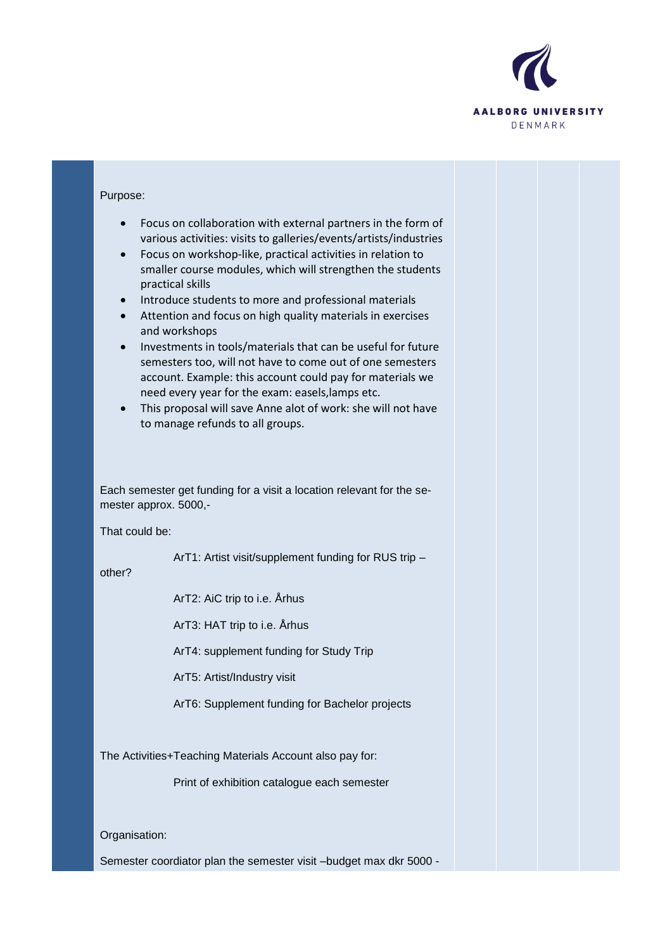

| Purpose:                                                                                                                                                                                                                                                                                                                                                                                                                                                                                                                                                                                                                                                                                                                                                                                                                                      |  |  |
|-----------------------------------------------------------------------------------------------------------------------------------------------------------------------------------------------------------------------------------------------------------------------------------------------------------------------------------------------------------------------------------------------------------------------------------------------------------------------------------------------------------------------------------------------------------------------------------------------------------------------------------------------------------------------------------------------------------------------------------------------------------------------------------------------------------------------------------------------|--|--|
| Focus on collaboration with external partners in the form of<br>$\bullet$<br>various activities: visits to galleries/events/artists/industries<br>Focus on workshop-like, practical activities in relation to<br>$\bullet$<br>smaller course modules, which will strengthen the students<br>practical skills<br>Introduce students to more and professional materials<br>$\bullet$<br>Attention and focus on high quality materials in exercises<br>and workshops<br>Investments in tools/materials that can be useful for future<br>$\bullet$<br>semesters too, will not have to come out of one semesters<br>account. Example: this account could pay for materials we<br>need every year for the exam: easels, lamps etc.<br>This proposal will save Anne alot of work: she will not have<br>$\bullet$<br>to manage refunds to all groups. |  |  |
|                                                                                                                                                                                                                                                                                                                                                                                                                                                                                                                                                                                                                                                                                                                                                                                                                                               |  |  |
| Each semester get funding for a visit a location relevant for the se-<br>mester approx. 5000,-                                                                                                                                                                                                                                                                                                                                                                                                                                                                                                                                                                                                                                                                                                                                                |  |  |
| That could be:                                                                                                                                                                                                                                                                                                                                                                                                                                                                                                                                                                                                                                                                                                                                                                                                                                |  |  |
| ArT1: Artist visit/supplement funding for RUS trip -<br>other?                                                                                                                                                                                                                                                                                                                                                                                                                                                                                                                                                                                                                                                                                                                                                                                |  |  |
| ArT2: AiC trip to i.e. Arhus                                                                                                                                                                                                                                                                                                                                                                                                                                                                                                                                                                                                                                                                                                                                                                                                                  |  |  |
| ArT3: HAT trip to i.e. Arhus                                                                                                                                                                                                                                                                                                                                                                                                                                                                                                                                                                                                                                                                                                                                                                                                                  |  |  |
| ArT4: supplement funding for Study Trip                                                                                                                                                                                                                                                                                                                                                                                                                                                                                                                                                                                                                                                                                                                                                                                                       |  |  |
| ArT5: Artist/Industry visit                                                                                                                                                                                                                                                                                                                                                                                                                                                                                                                                                                                                                                                                                                                                                                                                                   |  |  |
| ArT6: Supplement funding for Bachelor projects                                                                                                                                                                                                                                                                                                                                                                                                                                                                                                                                                                                                                                                                                                                                                                                                |  |  |
| The Activities+Teaching Materials Account also pay for:                                                                                                                                                                                                                                                                                                                                                                                                                                                                                                                                                                                                                                                                                                                                                                                       |  |  |
| Print of exhibition catalogue each semester                                                                                                                                                                                                                                                                                                                                                                                                                                                                                                                                                                                                                                                                                                                                                                                                   |  |  |
|                                                                                                                                                                                                                                                                                                                                                                                                                                                                                                                                                                                                                                                                                                                                                                                                                                               |  |  |
| Organisation:                                                                                                                                                                                                                                                                                                                                                                                                                                                                                                                                                                                                                                                                                                                                                                                                                                 |  |  |
| Semester coordiator plan the semester visit -budget max dkr 5000 -                                                                                                                                                                                                                                                                                                                                                                                                                                                                                                                                                                                                                                                                                                                                                                            |  |  |
|                                                                                                                                                                                                                                                                                                                                                                                                                                                                                                                                                                                                                                                                                                                                                                                                                                               |  |  |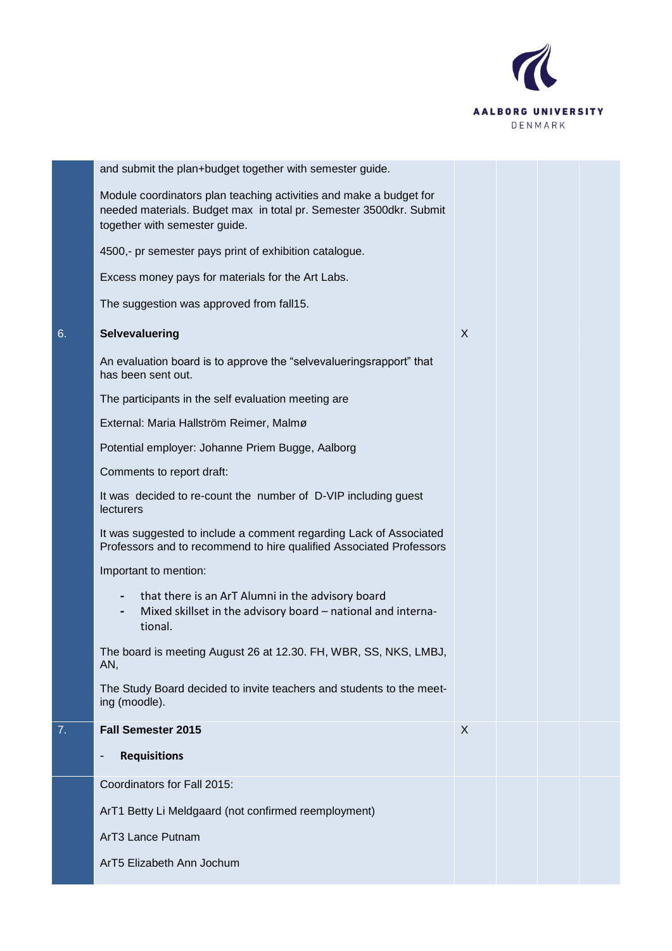

|    | and submit the plan+budget together with semester guide.                                                                                                                  |   |  |  |
|----|---------------------------------------------------------------------------------------------------------------------------------------------------------------------------|---|--|--|
|    | Module coordinators plan teaching activities and make a budget for<br>needed materials. Budget max in total pr. Semester 3500dkr. Submit<br>together with semester guide. |   |  |  |
|    | 4500,- pr semester pays print of exhibition catalogue.                                                                                                                    |   |  |  |
|    | Excess money pays for materials for the Art Labs.                                                                                                                         |   |  |  |
|    | The suggestion was approved from fall15.                                                                                                                                  |   |  |  |
| 6. | Selvevaluering                                                                                                                                                            | X |  |  |
|    | An evaluation board is to approve the "selvevalueringsrapport" that<br>has been sent out.                                                                                 |   |  |  |
|    | The participants in the self evaluation meeting are                                                                                                                       |   |  |  |
|    | External: Maria Hallström Reimer, Malmø                                                                                                                                   |   |  |  |
|    | Potential employer: Johanne Priem Bugge, Aalborg                                                                                                                          |   |  |  |
|    | Comments to report draft:                                                                                                                                                 |   |  |  |
|    | It was decided to re-count the number of D-VIP including guest<br>lecturers                                                                                               |   |  |  |
|    | It was suggested to include a comment regarding Lack of Associated<br>Professors and to recommend to hire qualified Associated Professors                                 |   |  |  |
|    | Important to mention:                                                                                                                                                     |   |  |  |
|    | that there is an ArT Alumni in the advisory board<br>$\blacksquare$<br>Mixed skillset in the advisory board - national and interna-<br>-<br>tional.                       |   |  |  |
|    | The board is meeting August 26 at 12.30. FH, WBR, SS, NKS, LMBJ,<br>AN,                                                                                                   |   |  |  |
|    | The Study Board decided to invite teachers and students to the meet-<br>ing (moodle).                                                                                     |   |  |  |
| 7. | <b>Fall Semester 2015</b>                                                                                                                                                 | X |  |  |
|    | <b>Requisitions</b>                                                                                                                                                       |   |  |  |
|    | Coordinators for Fall 2015:                                                                                                                                               |   |  |  |
|    | ArT1 Betty Li Meldgaard (not confirmed reemployment)                                                                                                                      |   |  |  |
|    | ArT3 Lance Putnam                                                                                                                                                         |   |  |  |
|    | ArT5 Elizabeth Ann Jochum                                                                                                                                                 |   |  |  |
|    |                                                                                                                                                                           |   |  |  |